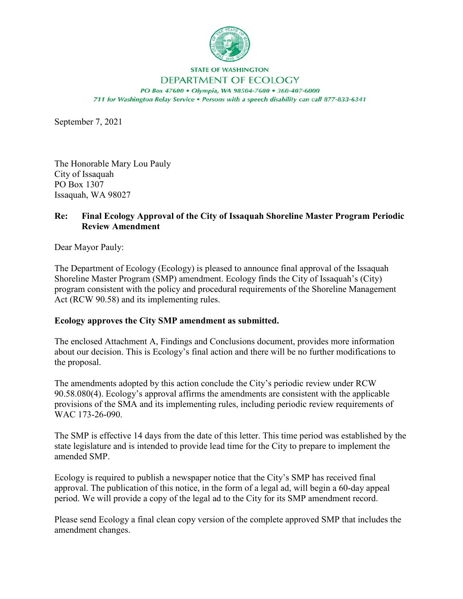

## **STATE OF WASHINGTON**

## DEPARTMENT OF ECOLOGY

PO Box 47600 · Olympia, WA 98504-7600 · 360-407-6000 711 for Washington Relay Service . Persons with a speech disability can call 877-833-6341

September 7, 2021

The Honorable Mary Lou Pauly City of Issaquah PO Box 1307 Issaquah, WA 98027

## **Re: Final Ecology Approval of the City of Issaquah Shoreline Master Program Periodic Review Amendment**

Dear Mayor Pauly:

The Department of Ecology (Ecology) is pleased to announce final approval of the Issaquah Shoreline Master Program (SMP) amendment. Ecology finds the City of Issaquah's (City) program consistent with the policy and procedural requirements of the Shoreline Management Act (RCW 90.58) and its implementing rules.

## **Ecology approves the City SMP amendment as submitted.**

The enclosed Attachment A, Findings and Conclusions document, provides more information about our decision. This is Ecology's final action and there will be no further modifications to the proposal.

The amendments adopted by this action conclude the City's periodic review under RCW 90.58.080(4). Ecology's approval affirms the amendments are consistent with the applicable provisions of the SMA and its implementing rules, including periodic review requirements of WAC 173-26-090.

The SMP is effective 14 days from the date of this letter. This time period was established by the state legislature and is intended to provide lead time for the City to prepare to implement the amended SMP.

Ecology is required to publish a newspaper notice that the City's SMP has received final approval. The publication of this notice, in the form of a legal ad, will begin a 60-day appeal period. We will provide a copy of the legal ad to the City for its SMP amendment record.

Please send Ecology a final clean copy version of the complete approved SMP that includes the amendment changes.